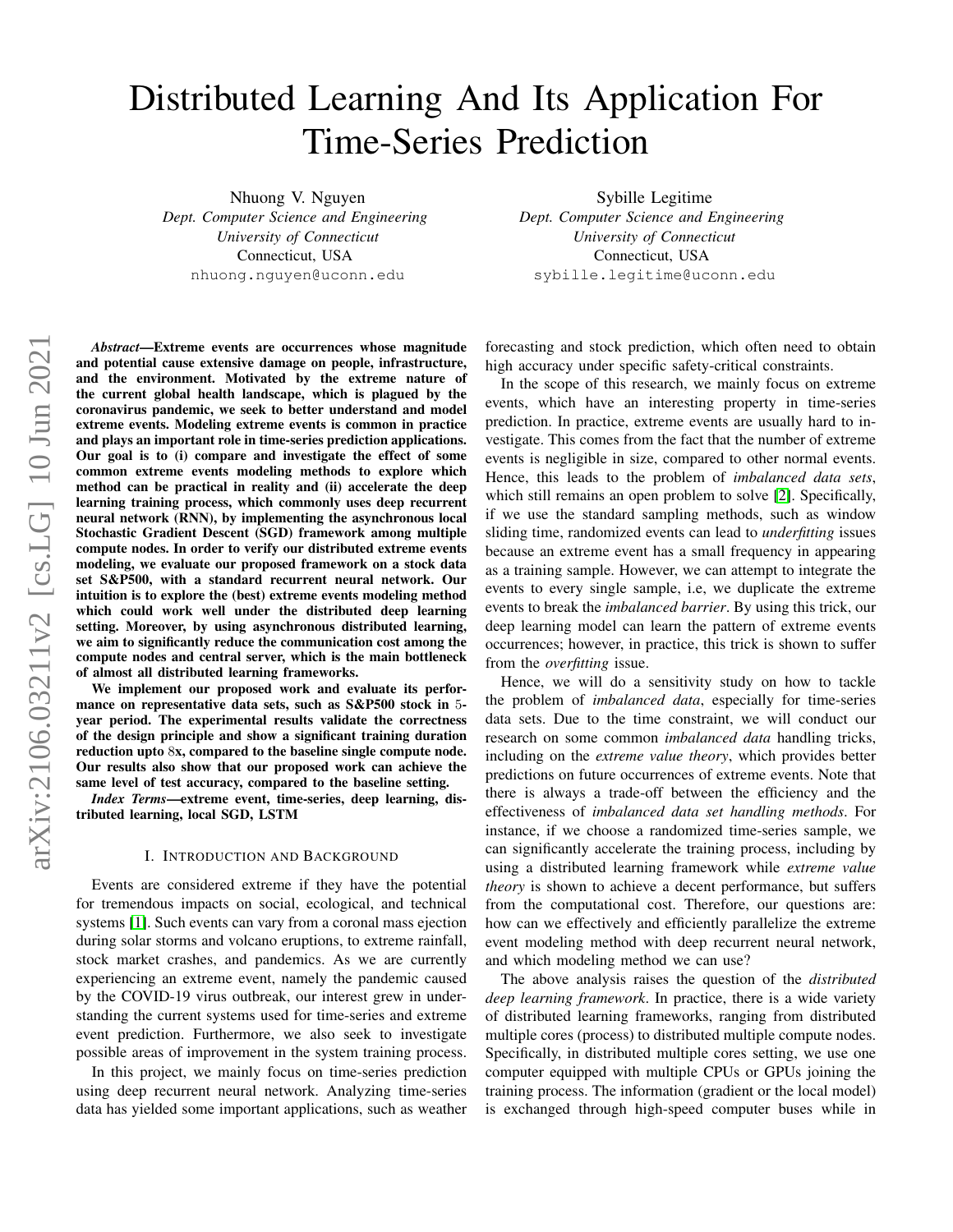# <span id="page-0-0"></span>Distributed Learning And Its Application For Time-Series Prediction

Nhuong V. Nguyen

*Dept. Computer Science and Engineering University of Connecticut* Connecticut, USA nhuong.nguyen@uconn.edu

Sybille Legitime *Dept. Computer Science and Engineering University of Connecticut* Connecticut, USA sybille.legitime@uconn.edu

*Abstract*—Extreme events are occurrences whose magnitude and potential cause extensive damage on people, infrastructure, and the environment. Motivated by the extreme nature of the current global health landscape, which is plagued by the coronavirus pandemic, we seek to better understand and model extreme events. Modeling extreme events is common in practice and plays an important role in time-series prediction applications. Our goal is to (i) compare and investigate the effect of some common extreme events modeling methods to explore which method can be practical in reality and (ii) accelerate the deep learning training process, which commonly uses deep recurrent neural network (RNN), by implementing the asynchronous local Stochastic Gradient Descent (SGD) framework among multiple compute nodes. In order to verify our distributed extreme events modeling, we evaluate our proposed framework on a stock data set S&P500, with a standard recurrent neural network. Our intuition is to explore the (best) extreme events modeling method which could work well under the distributed deep learning setting. Moreover, by using asynchronous distributed learning, we aim to significantly reduce the communication cost among the compute nodes and central server, which is the main bottleneck of almost all distributed learning frameworks.

We implement our proposed work and evaluate its performance on representative data sets, such as S&P500 stock in 5 year period. The experimental results validate the correctness of the design principle and show a significant training duration reduction upto 8x, compared to the baseline single compute node. Our results also show that our proposed work can achieve the same level of test accuracy, compared to the baseline setting.

*Index Terms*—extreme event, time-series, deep learning, distributed learning, local SGD, LSTM

## I. INTRODUCTION AND BACKGROUND

Events are considered extreme if they have the potential for tremendous impacts on social, ecological, and technical systems [\[1\]](#page-6-0). Such events can vary from a coronal mass ejection during solar storms and volcano eruptions, to extreme rainfall, stock market crashes, and pandemics. As we are currently experiencing an extreme event, namely the pandemic caused by the COVID-19 virus outbreak, our interest grew in understanding the current systems used for time-series and extreme event prediction. Furthermore, we also seek to investigate possible areas of improvement in the system training process.

In this project, we mainly focus on time-series prediction using deep recurrent neural network. Analyzing time-series data has yielded some important applications, such as weather

forecasting and stock prediction, which often need to obtain high accuracy under specific safety-critical constraints.

In the scope of this research, we mainly focus on extreme events, which have an interesting property in time-series prediction. In practice, extreme events are usually hard to investigate. This comes from the fact that the number of extreme events is negligible in size, compared to other normal events. Hence, this leads to the problem of *imbalanced data sets*, which still remains an open problem to solve [\[2\]](#page-6-1). Specifically, if we use the standard sampling methods, such as window sliding time, randomized events can lead to *underfitting* issues because an extreme event has a small frequency in appearing as a training sample. However, we can attempt to integrate the events to every single sample, i.e, we duplicate the extreme events to break the *imbalanced barrier*. By using this trick, our deep learning model can learn the pattern of extreme events occurrences; however, in practice, this trick is shown to suffer from the *overfitting* issue.

Hence, we will do a sensitivity study on how to tackle the problem of *imbalanced data*, especially for time-series data sets. Due to the time constraint, we will conduct our research on some common *imbalanced data* handling tricks, including on the *extreme value theory*, which provides better predictions on future occurrences of extreme events. Note that there is always a trade-off between the efficiency and the effectiveness of *imbalanced data set handling methods*. For instance, if we choose a randomized time-series sample, we can significantly accelerate the training process, including by using a distributed learning framework while *extreme value theory* is shown to achieve a decent performance, but suffers from the computational cost. Therefore, our questions are: how can we effectively and efficiently parallelize the extreme event modeling method with deep recurrent neural network, and which modeling method we can use?

The above analysis raises the question of the *distributed deep learning framework*. In practice, there is a wide variety of distributed learning frameworks, ranging from distributed multiple cores (process) to distributed multiple compute nodes. Specifically, in distributed multiple cores setting, we use one computer equipped with multiple CPUs or GPUs joining the training process. The information (gradient or the local model) is exchanged through high-speed computer buses while in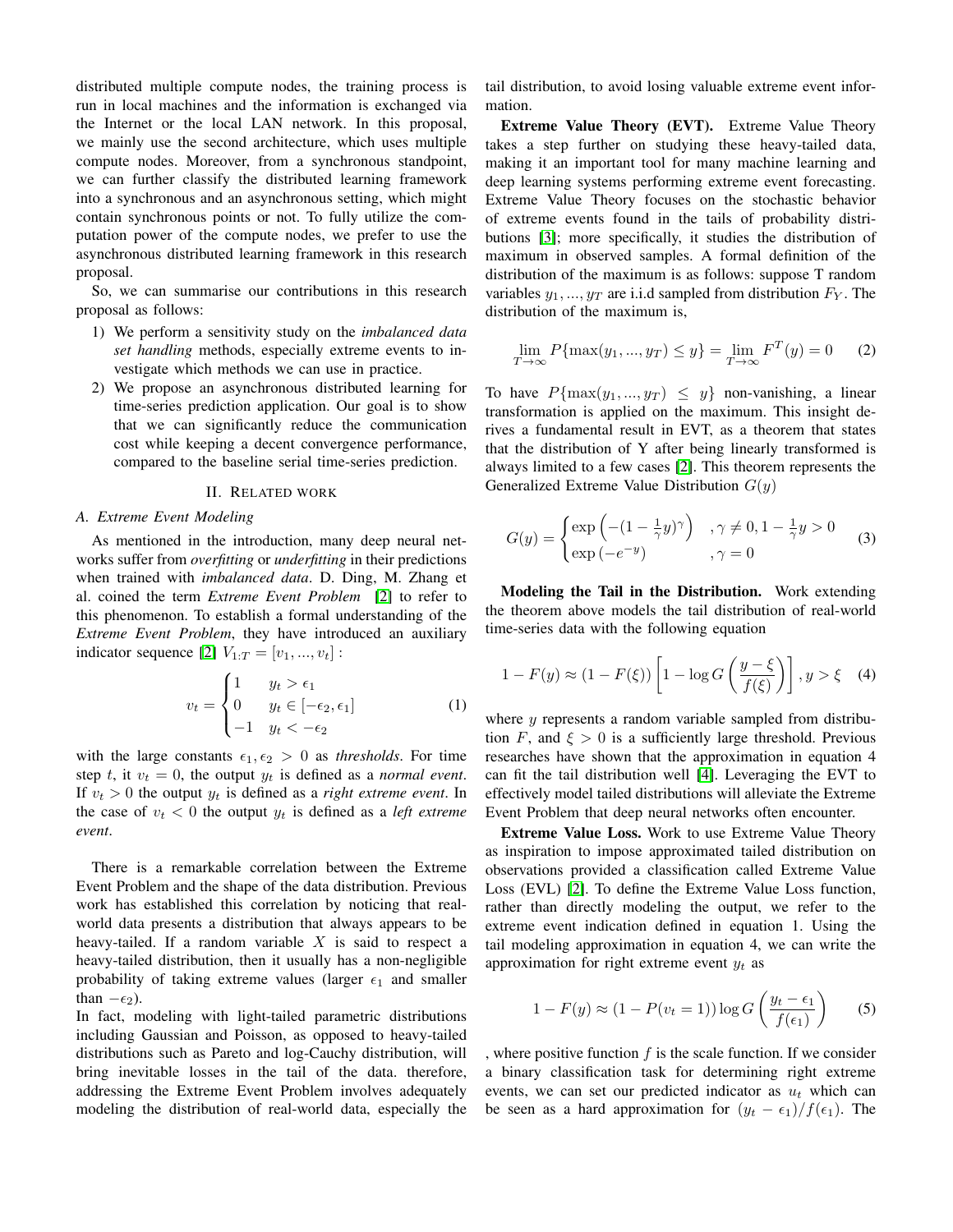distributed multiple compute nodes, the training process is run in local machines and the information is exchanged via the Internet or the local LAN network. In this proposal, we mainly use the second architecture, which uses multiple compute nodes. Moreover, from a synchronous standpoint, we can further classify the distributed learning framework into a synchronous and an asynchronous setting, which might contain synchronous points or not. To fully utilize the computation power of the compute nodes, we prefer to use the asynchronous distributed learning framework in this research proposal.

So, we can summarise our contributions in this research proposal as follows:

- 1) We perform a sensitivity study on the *imbalanced data set handling* methods, especially extreme events to investigate which methods we can use in practice.
- 2) We propose an asynchronous distributed learning for time-series prediction application. Our goal is to show that we can significantly reduce the communication cost while keeping a decent convergence performance, compared to the baseline serial time-series prediction.

#### II. RELATED WORK

#### *A. Extreme Event Modeling*

As mentioned in the introduction, many deep neural networks suffer from *overfitting* or *underfitting* in their predictions when trained with *imbalanced data*. D. Ding, M. Zhang et al. coined the term *Extreme Event Problem* [\[2\]](#page-6-1) to refer to this phenomenon. To establish a formal understanding of the *Extreme Event Problem*, they have introduced an auxiliary indicator sequence [\[2\]](#page-6-1)  $V_{1:T} = [v_1, ..., v_t]$ :

$$
v_t = \begin{cases} 1 & y_t > \epsilon_1 \\ 0 & y_t \in [-\epsilon_2, \epsilon_1] \\ -1 & y_t < -\epsilon_2 \end{cases}
$$
 (1)

with the large constants  $\epsilon_1, \epsilon_2 > 0$  as *thresholds*. For time step t, it  $v_t = 0$ , the output  $y_t$  is defined as a *normal event*. If  $v_t > 0$  the output  $y_t$  is defined as a *right extreme event*. In the case of  $v_t < 0$  the output  $y_t$  is defined as a *left extreme event*.

There is a remarkable correlation between the Extreme Event Problem and the shape of the data distribution. Previous work has established this correlation by noticing that realworld data presents a distribution that always appears to be heavy-tailed. If a random variable  $X$  is said to respect a heavy-tailed distribution, then it usually has a non-negligible probability of taking extreme values (larger  $\epsilon_1$  and smaller than  $-\epsilon_2$ ).

In fact, modeling with light-tailed parametric distributions including Gaussian and Poisson, as opposed to heavy-tailed distributions such as Pareto and log-Cauchy distribution, will bring inevitable losses in the tail of the data. therefore, addressing the Extreme Event Problem involves adequately modeling the distribution of real-world data, especially the

tail distribution, to avoid losing valuable extreme event information.

Extreme Value Theory (EVT). Extreme Value Theory takes a step further on studying these heavy-tailed data, making it an important tool for many machine learning and deep learning systems performing extreme event forecasting. Extreme Value Theory focuses on the stochastic behavior of extreme events found in the tails of probability distributions [\[3\]](#page-6-2); more specifically, it studies the distribution of maximum in observed samples. A formal definition of the distribution of the maximum is as follows: suppose T random variables  $y_1, ..., y_T$  are i.i.d sampled from distribution  $F_Y$ . The distribution of the maximum is,

$$
\lim_{T \to \infty} P\{\max(y_1, ..., y_T) \le y\} = \lim_{T \to \infty} F^T(y) = 0 \tag{2}
$$

To have  $P{\max(y_1, ..., y_T) \leq y}$  non-vanishing, a linear transformation is applied on the maximum. This insight derives a fundamental result in EVT, as a theorem that states that the distribution of Y after being linearly transformed is always limited to a few cases [\[2\]](#page-6-1). This theorem represents the Generalized Extreme Value Distribution  $G(y)$ 

$$
G(y) = \begin{cases} \exp\left(-(1 - \frac{1}{\gamma}y)^{\gamma}\right) & , \gamma \neq 0, 1 - \frac{1}{\gamma}y > 0\\ \exp\left(-e^{-y}\right) & , \gamma = 0 \end{cases}
$$
 (3)

Modeling the Tail in the Distribution. Work extending the theorem above models the tail distribution of real-world time-series data with the following equation

$$
1 - F(y) \approx (1 - F(\xi)) \left[ 1 - \log G \left( \frac{y - \xi}{f(\xi)} \right) \right], y > \xi \quad (4)
$$

where  $y$  represents a random variable sampled from distribution F, and  $\xi > 0$  is a sufficiently large threshold. Previous researches have shown that the approximation in equation 4 can fit the tail distribution well [\[4\]](#page-6-3). Leveraging the EVT to effectively model tailed distributions will alleviate the Extreme Event Problem that deep neural networks often encounter.

Extreme Value Loss. Work to use Extreme Value Theory as inspiration to impose approximated tailed distribution on observations provided a classification called Extreme Value Loss (EVL) [\[2\]](#page-6-1). To define the Extreme Value Loss function, rather than directly modeling the output, we refer to the extreme event indication defined in equation 1. Using the tail modeling approximation in equation 4, we can write the approximation for right extreme event  $y_t$  as

$$
1 - F(y) \approx (1 - P(v_t = 1)) \log G \left( \frac{y_t - \epsilon_1}{f(\epsilon_1)} \right) \tag{5}
$$

, where positive function  $f$  is the scale function. If we consider a binary classification task for determining right extreme events, we can set our predicted indicator as  $u_t$  which can be seen as a hard approximation for  $(y_t - \epsilon_1)/f(\epsilon_1)$ . The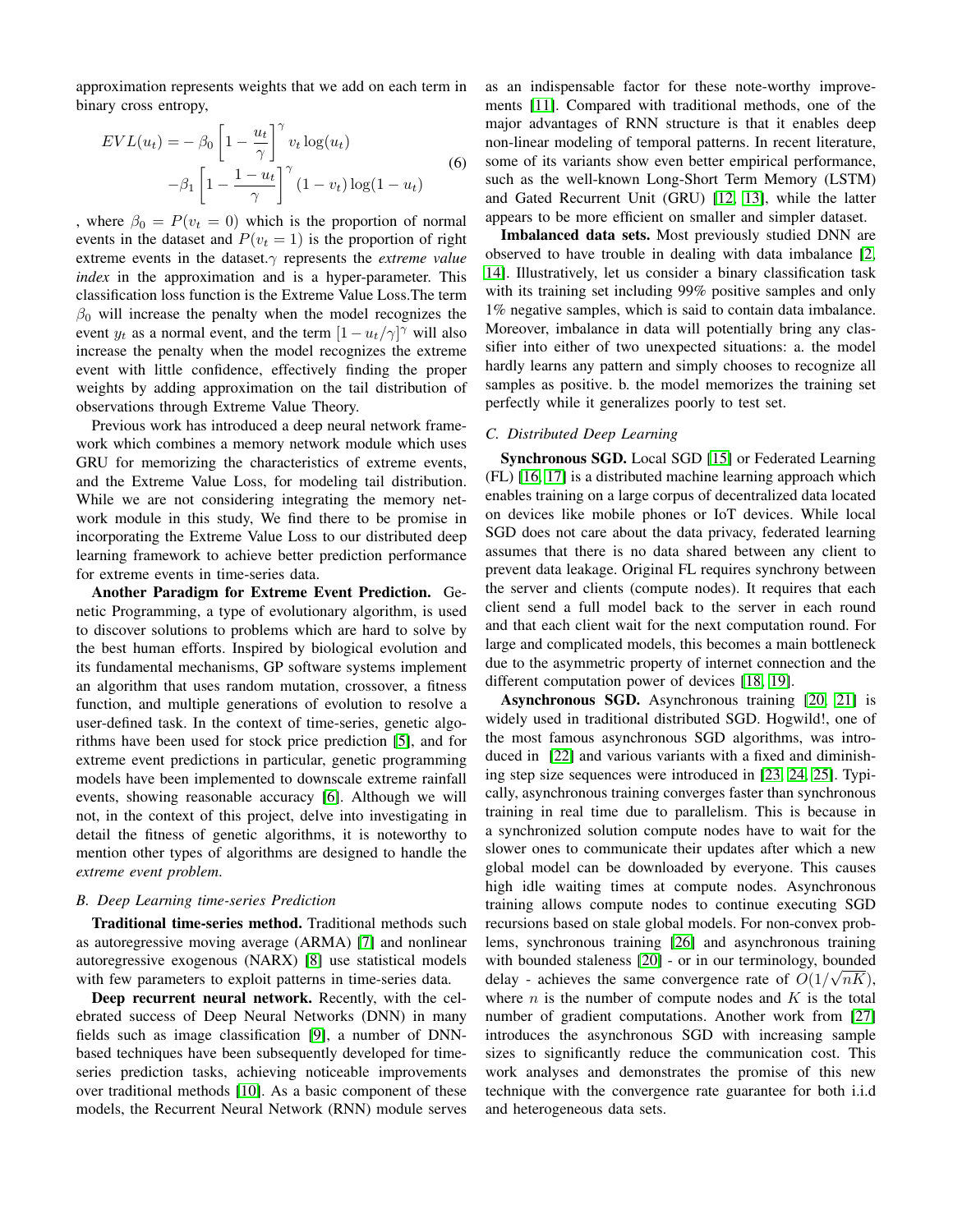approximation represents weights that we add on each term in binary cross entropy,

$$
EVL(u_t) = -\beta_0 \left[ 1 - \frac{u_t}{\gamma} \right]^\gamma v_t \log(u_t)
$$

$$
-\beta_1 \left[ 1 - \frac{1 - u_t}{\gamma} \right]^\gamma (1 - v_t) \log(1 - u_t)
$$
(6)

, where  $\beta_0 = P(v_t = 0)$  which is the proportion of normal events in the dataset and  $P(v_t = 1)$  is the proportion of right extreme events in the dataset.γ represents the *extreme value index* in the approximation and is a hyper-parameter. This classification loss function is the Extreme Value Loss.The term  $\beta_0$  will increase the penalty when the model recognizes the event  $y_t$  as a normal event, and the term  $[1 - u_t/\gamma]^\gamma$  will also increase the penalty when the model recognizes the extreme event with little confidence, effectively finding the proper weights by adding approximation on the tail distribution of observations through Extreme Value Theory.

Previous work has introduced a deep neural network framework which combines a memory network module which uses GRU for memorizing the characteristics of extreme events, and the Extreme Value Loss, for modeling tail distribution. While we are not considering integrating the memory network module in this study, We find there to be promise in incorporating the Extreme Value Loss to our distributed deep learning framework to achieve better prediction performance for extreme events in time-series data.

Another Paradigm for Extreme Event Prediction. Genetic Programming, a type of evolutionary algorithm, is used to discover solutions to problems which are hard to solve by the best human efforts. Inspired by biological evolution and its fundamental mechanisms, GP software systems implement an algorithm that uses random mutation, crossover, a fitness function, and multiple generations of evolution to resolve a user-defined task. In the context of time-series, genetic algorithms have been used for stock price prediction [\[5\]](#page-6-4), and for extreme event predictions in particular, genetic programming models have been implemented to downscale extreme rainfall events, showing reasonable accuracy [\[6\]](#page-6-5). Although we will not, in the context of this project, delve into investigating in detail the fitness of genetic algorithms, it is noteworthy to mention other types of algorithms are designed to handle the *extreme event problem*.

## *B. Deep Learning time-series Prediction*

Traditional time-series method. Traditional methods such as autoregressive moving average (ARMA) [\[7\]](#page-6-6) and nonlinear autoregressive exogenous (NARX) [\[8\]](#page-6-7) use statistical models with few parameters to exploit patterns in time-series data.

Deep recurrent neural network. Recently, with the celebrated success of Deep Neural Networks (DNN) in many fields such as image classification [\[9\]](#page-6-8), a number of DNNbased techniques have been subsequently developed for timeseries prediction tasks, achieving noticeable improvements over traditional methods [\[10\]](#page-6-9). As a basic component of these models, the Recurrent Neural Network (RNN) module serves as an indispensable factor for these note-worthy improvements [\[11\]](#page-7-0). Compared with traditional methods, one of the major advantages of RNN structure is that it enables deep non-linear modeling of temporal patterns. In recent literature, some of its variants show even better empirical performance, such as the well-known Long-Short Term Memory (LSTM) and Gated Recurrent Unit (GRU) [\[12,](#page-7-1) [13\]](#page-7-2), while the latter appears to be more efficient on smaller and simpler dataset.

Imbalanced data sets. Most previously studied DNN are observed to have trouble in dealing with data imbalance [\[2,](#page-6-1) [14\]](#page-7-3). Illustratively, let us consider a binary classification task with its training set including 99% positive samples and only 1% negative samples, which is said to contain data imbalance. Moreover, imbalance in data will potentially bring any classifier into either of two unexpected situations: a. the model hardly learns any pattern and simply chooses to recognize all samples as positive. b. the model memorizes the training set perfectly while it generalizes poorly to test set.

## *C. Distributed Deep Learning*

Synchronous SGD. Local SGD [\[15\]](#page-7-4) or Federated Learning (FL) [\[16,](#page-7-5) [17\]](#page-7-6) is a distributed machine learning approach which enables training on a large corpus of decentralized data located on devices like mobile phones or IoT devices. While local SGD does not care about the data privacy, federated learning assumes that there is no data shared between any client to prevent data leakage. Original FL requires synchrony between the server and clients (compute nodes). It requires that each client send a full model back to the server in each round and that each client wait for the next computation round. For large and complicated models, this becomes a main bottleneck due to the asymmetric property of internet connection and the different computation power of devices [\[18,](#page-7-7) [19\]](#page-7-8).

Asynchronous SGD. Asynchronous training [\[20,](#page-7-9) [21\]](#page-7-10) is widely used in traditional distributed SGD. Hogwild!, one of the most famous asynchronous SGD algorithms, was introduced in [\[22\]](#page-7-11) and various variants with a fixed and diminishing step size sequences were introduced in [\[23,](#page-7-12) [24,](#page-7-13) [25\]](#page-7-14). Typically, asynchronous training converges faster than synchronous training in real time due to parallelism. This is because in a synchronized solution compute nodes have to wait for the slower ones to communicate their updates after which a new global model can be downloaded by everyone. This causes high idle waiting times at compute nodes. Asynchronous training allows compute nodes to continue executing SGD recursions based on stale global models. For non-convex problems, synchronous training [\[26\]](#page-7-15) and asynchronous training with bounded staleness  $[20]$  - or in our terminology, bounded delay - achieves the same convergence rate of  $O(1/\sqrt{nK})$ , where  $n$  is the number of compute nodes and  $K$  is the total number of gradient computations. Another work from [\[27\]](#page-7-16) introduces the asynchronous SGD with increasing sample sizes to significantly reduce the communication cost. This work analyses and demonstrates the promise of this new technique with the convergence rate guarantee for both i.i.d and heterogeneous data sets.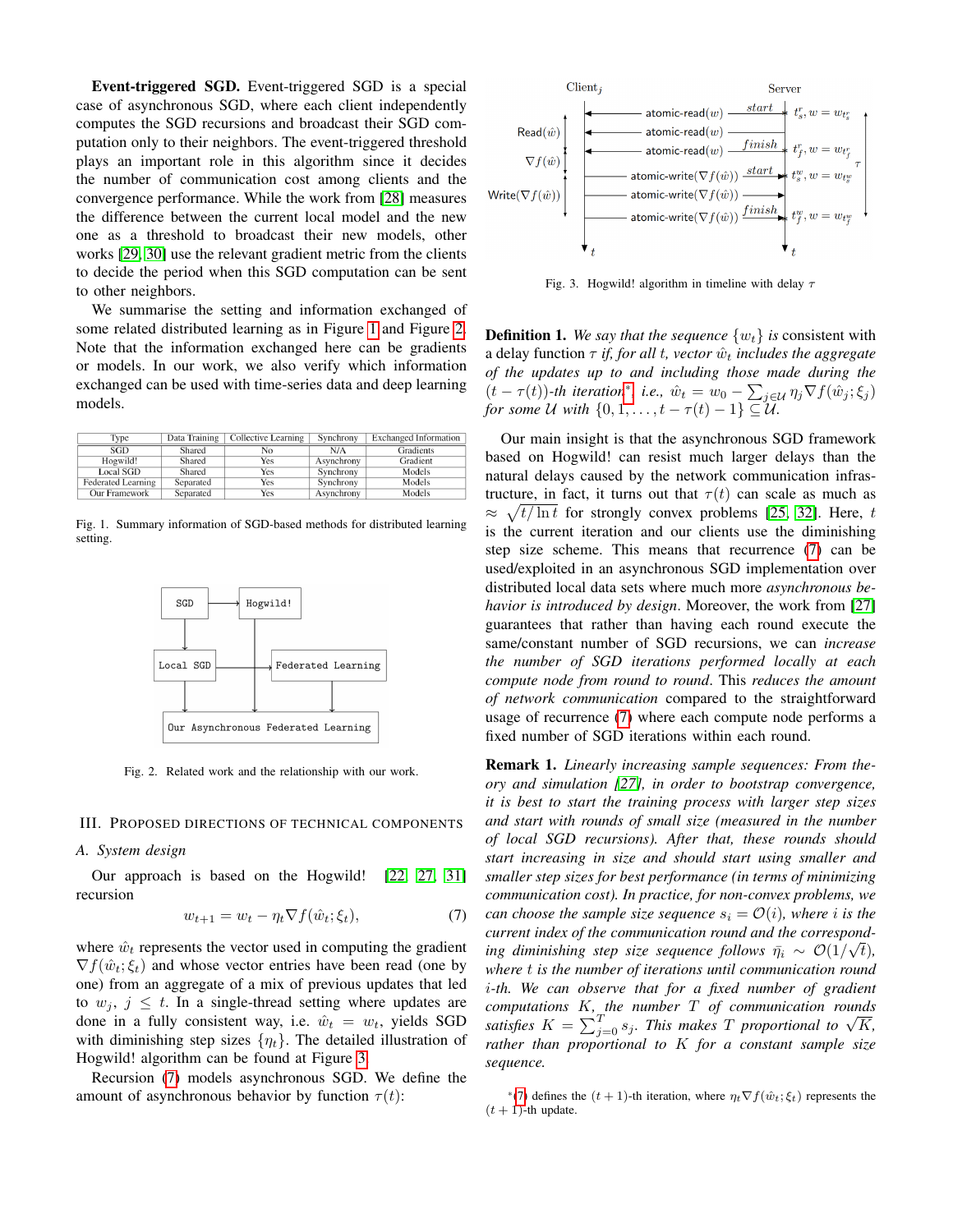Event-triggered SGD. Event-triggered SGD is a special case of asynchronous SGD, where each client independently computes the SGD recursions and broadcast their SGD computation only to their neighbors. The event-triggered threshold plays an important role in this algorithm since it decides the number of communication cost among clients and the convergence performance. While the work from [\[28\]](#page-7-17) measures the difference between the current local model and the new one as a threshold to broadcast their new models, other works [\[29,](#page-7-18) [30\]](#page-7-19) use the relevant gradient metric from the clients to decide the period when this SGD computation can be sent to other neighbors.

We summarise the setting and information exchanged of some related distributed learning as in Figure [1](#page-3-0) and Figure [2.](#page-3-1) Note that the information exchanged here can be gradients or models. In our work, we also verify which information exchanged can be used with time-series data and deep learning models.

| Type                      | Data Training | Collective Learning | Synchrony  | <b>Exchanged Information</b> |
|---------------------------|---------------|---------------------|------------|------------------------------|
| SGD                       | Shared        | No                  | N/A        | Gradients                    |
| Hogwild!                  | Shared        | Yes                 | Asynchrony | Gradient                     |
| <b>Local SGD</b>          | Shared        | Yes                 | Synchrony  | Models                       |
| <b>Federated Learning</b> | Separated     | Yes                 | Synchrony  | Models                       |
| <b>Our Framework</b>      | Separated     | Yes                 | Asynchrony | Models                       |

<span id="page-3-0"></span>Fig. 1. Summary information of SGD-based methods for distributed learning setting.



<span id="page-3-1"></span>Fig. 2. Related work and the relationship with our work.

#### III. PROPOSED DIRECTIONS OF TECHNICAL COMPONENTS

#### *A. System design*

Our approach is based on the Hogwild! [\[22,](#page-7-11) [27,](#page-7-16) [31\]](#page-7-20) recursion

<span id="page-3-3"></span>
$$
w_{t+1} = w_t - \eta_t \nabla f(\hat{w}_t; \xi_t), \tag{7}
$$

where  $\hat{w}_t$  represents the vector used in computing the gradient  $\nabla f(\hat{w}_t; \xi_t)$  and whose vector entries have been read (one by one) from an aggregate of a mix of previous updates that led to  $w_i, j \leq t$ . In a single-thread setting where updates are done in a fully consistent way, i.e.  $\hat{w}_t = w_t$ , yields SGD with diminishing step sizes  $\{\eta_t\}$ . The detailed illustration of Hogwild! algorithm can be found at Figure [3.](#page-3-2)

Recursion [\(7\)](#page-3-3) models asynchronous SGD. We define the amount of asynchronous behavior by function  $\tau(t)$ :



<span id="page-3-2"></span>Fig. 3. Hogwild! algorithm in timeline with delay  $\tau$ 

<span id="page-3-4"></span>**Definition 1.** We say that the sequence  $\{w_t\}$  is consistent with a delay function  $\tau$  *if, for all t, vector*  $\hat{w}_t$  *includes the aggregate of the updates up to and including those made during the*  $(t - \tau(t))$ -th iteration<sup>[\\*](#page-0-0)</sup>, i.e.,  $\hat{w}_t = w_0 - \sum_{j \in \mathcal{U}} \eta_j \nabla f(\hat{w}_j; \xi_j)$ *for some* U with  $\{0, 1, \ldots, t - \tau(t) - 1\} \subseteq \mathcal{U}$ .

Our main insight is that the asynchronous SGD framework based on Hogwild! can resist much larger delays than the natural delays caused by the network communication infrastructure, in fact, it turns out that  $\tau(t)$  can scale as much as  $\approx \sqrt{t/\ln t}$  for strongly convex problems [\[25,](#page-7-14) [32\]](#page-7-21). Here, t is the current iteration and our clients use the diminishing step size scheme. This means that recurrence [\(7\)](#page-3-3) can be used/exploited in an asynchronous SGD implementation over distributed local data sets where much more *asynchronous behavior is introduced by design*. Moreover, the work from [\[27\]](#page-7-16) guarantees that rather than having each round execute the same/constant number of SGD recursions, we can *increase the number of SGD iterations performed locally at each compute node from round to round*. This *reduces the amount of network communication* compared to the straightforward usage of recurrence [\(7\)](#page-3-3) where each compute node performs a fixed number of SGD iterations within each round.

Remark 1. *Linearly increasing sample sequences: From theory and simulation [\[27\]](#page-7-16), in order to bootstrap convergence, it is best to start the training process with larger step sizes and start with rounds of small size (measured in the number of local SGD recursions). After that, these rounds should start increasing in size and should start using smaller and smaller step sizes for best performance (in terms of minimizing communication cost). In practice, for non-convex problems, we can choose the sample size sequence*  $s_i = \mathcal{O}(i)$ *, where i is the current index of the communication round and the correspond-*√ *ing diminishing step size sequence follows*  $\bar{\eta}_i \sim \mathcal{O}(1/\sqrt{t})$ , *where* t *is the number of iterations until communication round* i*-th. We can observe that for a fixed number of gradient computations* K*, the number* T *of communication rounds satisfies*  $K = \sum_{j=0}^{T} s_j$ . This makes T proportional to  $\sqrt{K}$ , *rather than proportional to* K *for a constant sample size sequence.*

<sup>\*</sup>[\(7\)](#page-3-3) defines the  $(t + 1)$ -th iteration, where  $\eta_t \nabla f(\hat{w}_t; \xi_t)$  represents the  $(t + 1)$ -th update.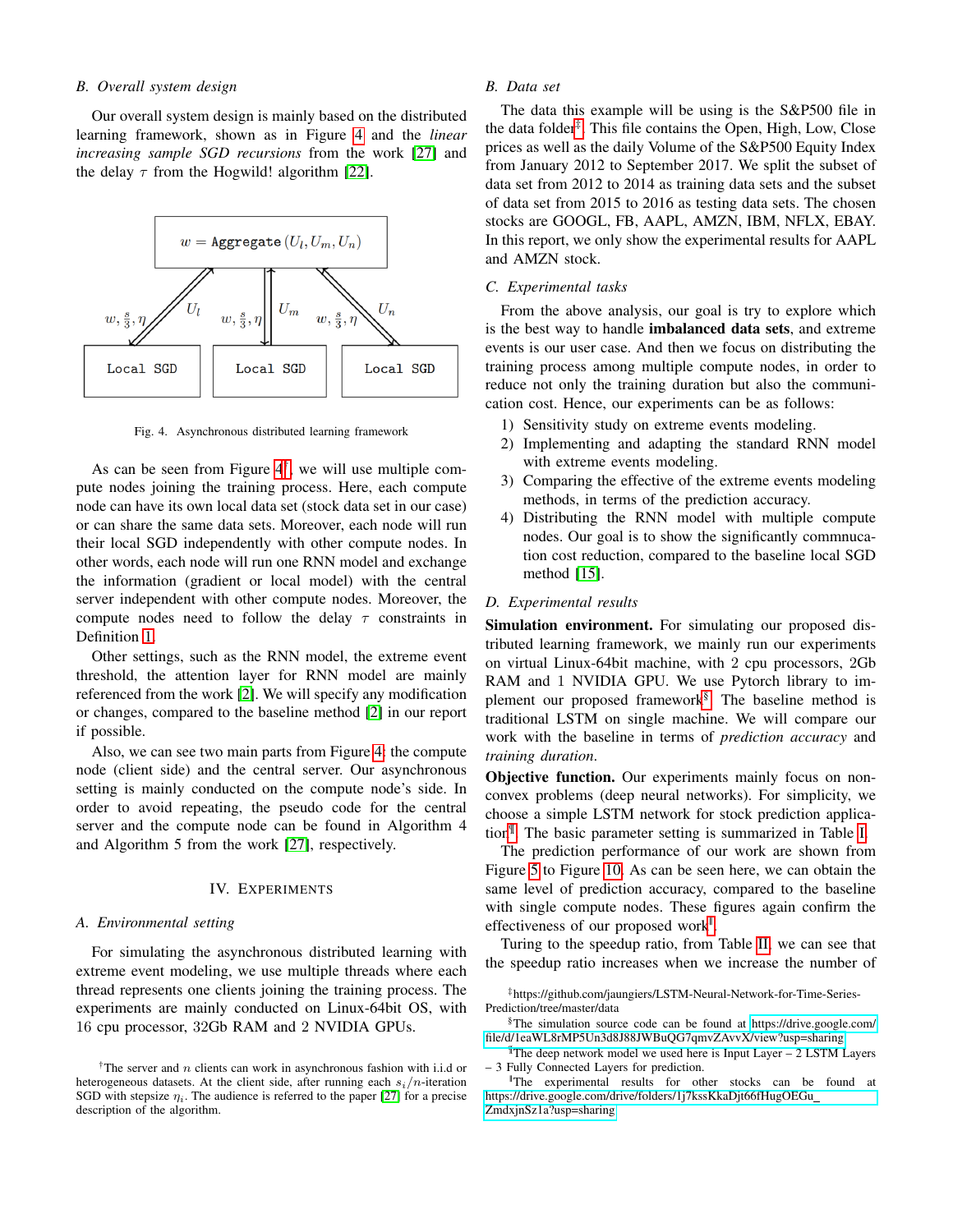## *B. Overall system design*

Our overall system design is mainly based on the distributed learning framework, shown as in Figure [4](#page-4-0) and the *linear increasing sample SGD recursions* from the work [\[27\]](#page-7-16) and the delay  $\tau$  from the Hogwild! algorithm [\[22\]](#page-7-11).



<span id="page-4-0"></span>Fig. 4. Asynchronous distributed learning framework

As can be seen from Figure  $4^{\dagger}$ , we will use multiple compute nodes joining the training process. Here, each compute node can have its own local data set (stock data set in our case) or can share the same data sets. Moreover, each node will run their local SGD independently with other compute nodes. In other words, each node will run one RNN model and exchange the information (gradient or local model) with the central server independent with other compute nodes. Moreover, the compute nodes need to follow the delay  $\tau$  constraints in Definition [1.](#page-3-4)

Other settings, such as the RNN model, the extreme event threshold, the attention layer for RNN model are mainly referenced from the work [\[2\]](#page-6-1). We will specify any modification or changes, compared to the baseline method [\[2\]](#page-6-1) in our report if possible.

Also, we can see two main parts from Figure [4:](#page-4-0) the compute node (client side) and the central server. Our asynchronous setting is mainly conducted on the compute node's side. In order to avoid repeating, the pseudo code for the central server and the compute node can be found in Algorithm 4 and Algorithm 5 from the work [\[27\]](#page-7-16), respectively.

## IV. EXPERIMENTS

#### *A. Environmental setting*

For simulating the asynchronous distributed learning with extreme event modeling, we use multiple threads where each thread represents one clients joining the training process. The experiments are mainly conducted on Linux-64bit OS, with 16 cpu processor, 32Gb RAM and 2 NVIDIA GPUs.

## *B. Data set*

The data this example will be using is the S&P500 file in the data folder<sup>[‡](#page-0-0)</sup>. This file contains the Open, High, Low, Close prices as well as the daily Volume of the S&P500 Equity Index from January 2012 to September 2017. We split the subset of data set from 2012 to 2014 as training data sets and the subset of data set from 2015 to 2016 as testing data sets. The chosen stocks are GOOGL, FB, AAPL, AMZN, IBM, NFLX, EBAY. In this report, we only show the experimental results for AAPL and AMZN stock.

## *C. Experimental tasks*

From the above analysis, our goal is try to explore which is the best way to handle imbalanced data sets, and extreme events is our user case. And then we focus on distributing the training process among multiple compute nodes, in order to reduce not only the training duration but also the communication cost. Hence, our experiments can be as follows:

- 1) Sensitivity study on extreme events modeling.
- 2) Implementing and adapting the standard RNN model with extreme events modeling.
- 3) Comparing the effective of the extreme events modeling methods, in terms of the prediction accuracy.
- 4) Distributing the RNN model with multiple compute nodes. Our goal is to show the significantly commnucation cost reduction, compared to the baseline local SGD method [\[15\]](#page-7-4).

#### *D. Experimental results*

Simulation environment. For simulating our proposed distributed learning framework, we mainly run our experiments on virtual Linux-64bit machine, with 2 cpu processors, 2Gb RAM and 1 NVIDIA GPU. We use Pytorch library to im-plement our proposed framework<sup>[§](#page-0-0)</sup>. The baseline method is traditional LSTM on single machine. We will compare our work with the baseline in terms of *prediction accuracy* and *training duration*.

Objective function. Our experiments mainly focus on nonconvex problems (deep neural networks). For simplicity, we choose a simple LSTM network for stock prediction application[¶](#page-0-0) . The basic parameter setting is summarized in Table [I.](#page-5-0)

The prediction performance of our work are shown from Figure [5](#page-5-1) to Figure [10.](#page-6-10) As can be seen here, we can obtain the same level of prediction accuracy, compared to the baseline with single compute nodes. These figures again confirm the effectiveness of our proposed work<sup>"</sup>.

Turing to the speedup ratio, from Table [II,](#page-6-11) we can see that the speedup ratio increases when we increase the number of

‡https://github.com/jaungiers/LSTM-Neural-Network-for-Time-Series-Prediction/tree/master/data

¶The deep network model we used here is Input Layer – 2 LSTM Layers – 3 Fully Connected Layers for prediction.

<sup>&</sup>lt;sup>†</sup>The server and *n* clients can work in asynchronous fashion with i.i.d or heterogeneous datasets. At the client side, after running each  $s_i/n$ -iteration SGD with stepsize  $\eta_i$ . The audience is referred to the paper [\[27\]](#page-7-16) for a precise description of the algorithm.

<sup>§</sup>The simulation source code can be found at [https://drive.google.com/](https://drive.google.com/file/d/1eaWL8rMP5Un3d8J88JWBuQG7qmvZAvvX/view?usp=sharing) [file/d/1eaWL8rMP5Un3d8J88JWBuQG7qmvZAvvX/view?usp=sharing](https://drive.google.com/file/d/1eaWL8rMP5Un3d8J88JWBuQG7qmvZAvvX/view?usp=sharing)

<sup>||</sup>The experimental results for other stocks can be found at [https://drive.google.com/drive/folders/1j7kssKkaDjt66fHugOEGu](https://drive.google.com/drive/folders/1j7kssKkaDjt66fHugOEGu_ZmdxjnSz1a?usp=sharing) [ZmdxjnSz1a?usp=sharing](https://drive.google.com/drive/folders/1j7kssKkaDjt66fHugOEGu_ZmdxjnSz1a?usp=sharing)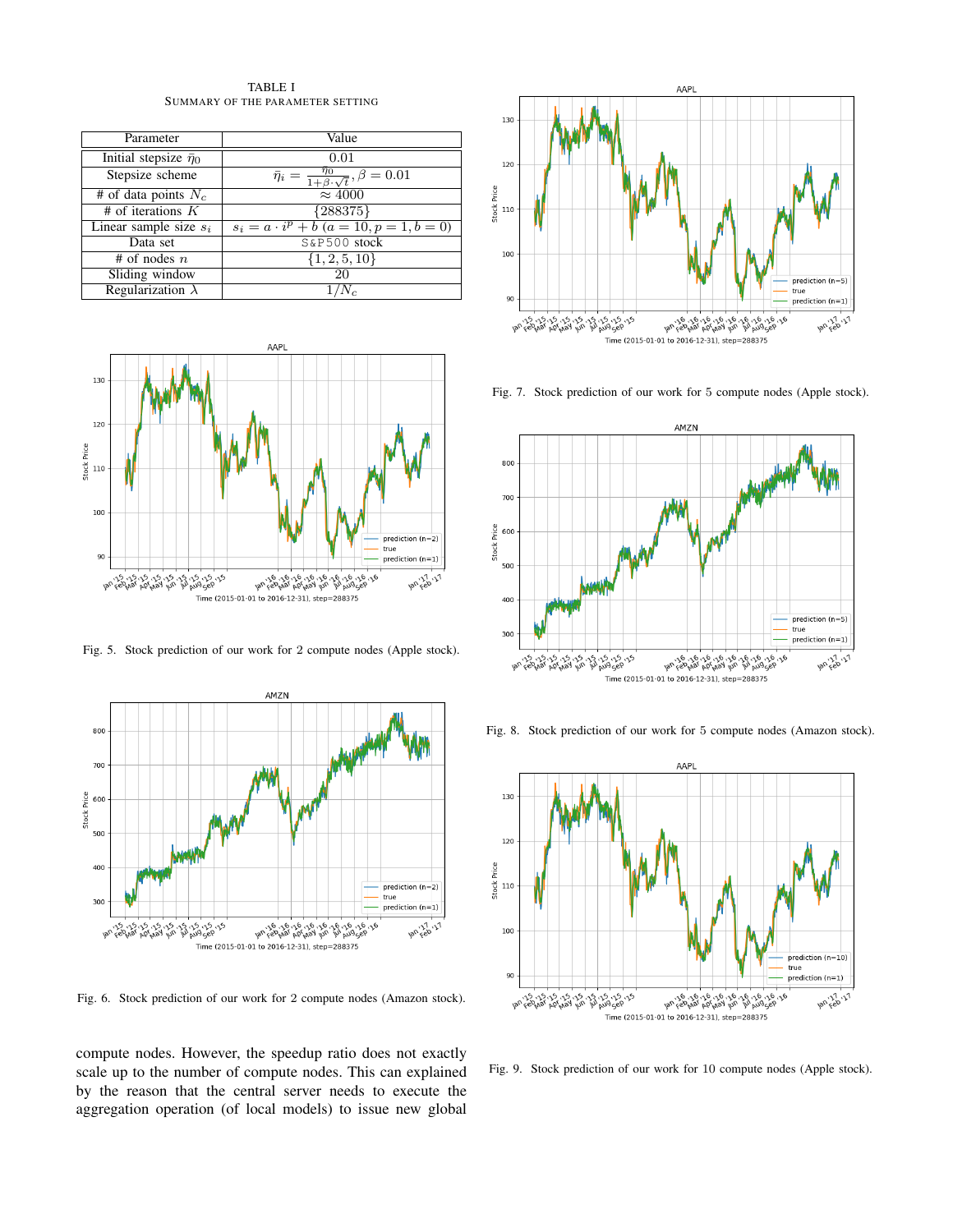TABLE I SUMMARY OF THE PARAMETER SETTING

<span id="page-5-0"></span>

| Parameter                       | Value                                                              |  |
|---------------------------------|--------------------------------------------------------------------|--|
| Initial stepsize $\bar{\eta}_0$ | 0.01                                                               |  |
| Stepsize scheme                 | $\bar{\eta}_i = \frac{\eta_0}{1+\beta\cdot\sqrt{t}}, \beta = 0.01$ |  |
| # of data points $N_c$          | $\overline{\approx 4000}$                                          |  |
| $#$ of iterations $K$           | ${288375}$                                                         |  |
| Linear sample size $s_i$        | $s_i = a \cdot i^p + b$ ( $a = 10, p = 1, b = 0$ )                 |  |
| Data set                        | S&P500 stock                                                       |  |
| # of nodes $n$                  | $\{1, 2, 5, 10\}$                                                  |  |
| Sliding window                  | 20                                                                 |  |
| Regularization $\lambda$        |                                                                    |  |



<span id="page-5-1"></span>Fig. 5. Stock prediction of our work for 2 compute nodes (Apple stock).



Fig. 6. Stock prediction of our work for 2 compute nodes (Amazon stock).

compute nodes. However, the speedup ratio does not exactly scale up to the number of compute nodes. This can explained by the reason that the central server needs to execute the aggregation operation (of local models) to issue new global



Fig. 7. Stock prediction of our work for 5 compute nodes (Apple stock).



Fig. 8. Stock prediction of our work for 5 compute nodes (Amazon stock).



Fig. 9. Stock prediction of our work for 10 compute nodes (Apple stock).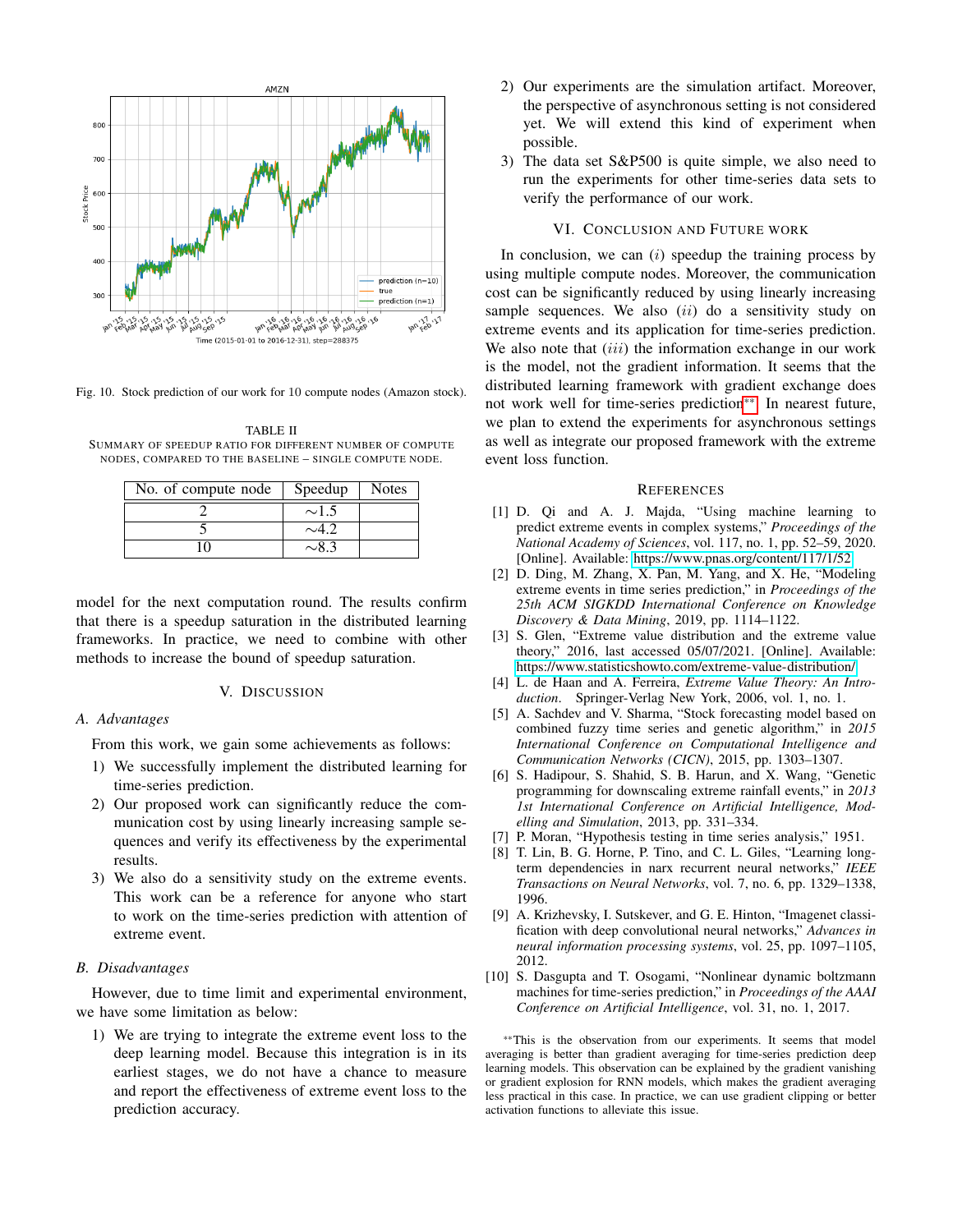

<span id="page-6-10"></span>Fig. 10. Stock prediction of our work for 10 compute nodes (Amazon stock).

<span id="page-6-11"></span>TABLE II SUMMARY OF SPEEDUP RATIO FOR DIFFERENT NUMBER OF COMPUTE NODES, COMPARED TO THE BASELINE – SINGLE COMPUTE NODE.

| No. of compute node | Speedup    | <b>Notes</b> |
|---------------------|------------|--------------|
|                     | $\sim$ 1.5 |              |
|                     |            |              |
|                     |            |              |

model for the next computation round. The results confirm that there is a speedup saturation in the distributed learning frameworks. In practice, we need to combine with other methods to increase the bound of speedup saturation.

### V. DISCUSSION

## *A. Advantages*

From this work, we gain some achievements as follows:

- 1) We successfully implement the distributed learning for time-series prediction.
- 2) Our proposed work can significantly reduce the communication cost by using linearly increasing sample sequences and verify its effectiveness by the experimental results.
- 3) We also do a sensitivity study on the extreme events. This work can be a reference for anyone who start to work on the time-series prediction with attention of extreme event.

#### *B. Disadvantages*

However, due to time limit and experimental environment, we have some limitation as below:

1) We are trying to integrate the extreme event loss to the deep learning model. Because this integration is in its earliest stages, we do not have a chance to measure and report the effectiveness of extreme event loss to the prediction accuracy.

- 2) Our experiments are the simulation artifact. Moreover, the perspective of asynchronous setting is not considered yet. We will extend this kind of experiment when possible.
- 3) The data set S&P500 is quite simple, we also need to run the experiments for other time-series data sets to verify the performance of our work.

#### VI. CONCLUSION AND FUTURE WORK

In conclusion, we can  $(i)$  speedup the training process by using multiple compute nodes. Moreover, the communication cost can be significantly reduced by using linearly increasing sample sequences. We also  $(ii)$  do a sensitivity study on extreme events and its application for time-series prediction. We also note that  $(iii)$  the information exchange in our work is the model, not the gradient information. It seems that the distributed learning framework with gradient exchange does not work well for time-series prediction[\\*\\*](#page-0-0). In nearest future, we plan to extend the experiments for asynchronous settings as well as integrate our proposed framework with the extreme event loss function.

## **REFERENCES**

- <span id="page-6-0"></span>[1] D. Qi and A. J. Majda, "Using machine learning to predict extreme events in complex systems," *Proceedings of the National Academy of Sciences*, vol. 117, no. 1, pp. 52–59, 2020. [Online]. Available:<https://www.pnas.org/content/117/1/52>
- <span id="page-6-1"></span>[2] D. Ding, M. Zhang, X. Pan, M. Yang, and X. He, "Modeling extreme events in time series prediction," in *Proceedings of the 25th ACM SIGKDD International Conference on Knowledge Discovery & Data Mining*, 2019, pp. 1114–1122.
- <span id="page-6-2"></span>[3] S. Glen, "Extreme value distribution and the extreme value theory," 2016, last accessed 05/07/2021. [Online]. Available: <https://www.statisticshowto.com/extreme-value-distribution/>
- <span id="page-6-3"></span>[4] L. de Haan and A. Ferreira, *Extreme Value Theory: An Introduction*. Springer-Verlag New York, 2006, vol. 1, no. 1.
- <span id="page-6-4"></span>[5] A. Sachdev and V. Sharma, "Stock forecasting model based on combined fuzzy time series and genetic algorithm," in *2015 International Conference on Computational Intelligence and Communication Networks (CICN)*, 2015, pp. 1303–1307.
- <span id="page-6-5"></span>[6] S. Hadipour, S. Shahid, S. B. Harun, and X. Wang, "Genetic programming for downscaling extreme rainfall events," in *2013 1st International Conference on Artificial Intelligence, Modelling and Simulation*, 2013, pp. 331–334.
- <span id="page-6-6"></span>[7] P. Moran, "Hypothesis testing in time series analysis," 1951.
- <span id="page-6-7"></span>[8] T. Lin, B. G. Horne, P. Tino, and C. L. Giles, "Learning longterm dependencies in narx recurrent neural networks," *IEEE Transactions on Neural Networks*, vol. 7, no. 6, pp. 1329–1338, 1996.
- <span id="page-6-8"></span>[9] A. Krizhevsky, I. Sutskever, and G. E. Hinton, "Imagenet classification with deep convolutional neural networks," *Advances in neural information processing systems*, vol. 25, pp. 1097–1105, 2012.
- <span id="page-6-9"></span>[10] S. Dasgupta and T. Osogami, "Nonlinear dynamic boltzmann machines for time-series prediction," in *Proceedings of the AAAI Conference on Artificial Intelligence*, vol. 31, no. 1, 2017.

\*\*This is the observation from our experiments. It seems that model averaging is better than gradient averaging for time-series prediction deep learning models. This observation can be explained by the gradient vanishing or gradient explosion for RNN models, which makes the gradient averaging less practical in this case. In practice, we can use gradient clipping or better activation functions to alleviate this issue.